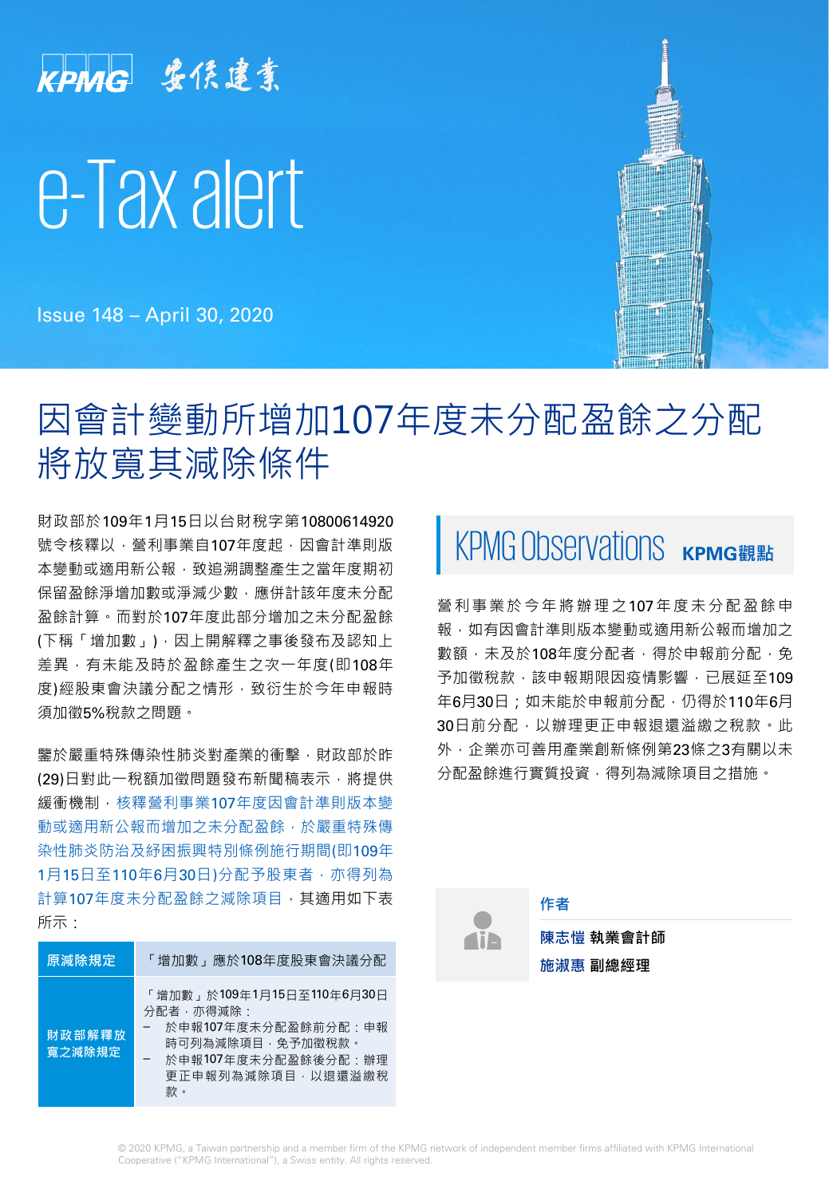# KPMG 安侯建業 e-Tax alert

Issue 148 – April 30, 2020

# 因會計變動所增加107年度未分配盈餘之分配 將放寬其減除條件

財政部於109年1月15日以台財稅字第10800614920 號令核釋以,營利事業自107年度起,因會計準則版 本變動或適用新公報,致追溯調整產生之當年度期初 保留盈餘淨增加數或淨減少數,應併計該年度未分配 盈餘計算。而對於107年度此部分增加之未分配盈餘 (下稱「增加數」),因上開解釋之事後發布及認知上 差異,有未能及時於盈餘產生之次一年度(即108年 度)經股東會決議分配之情形,致衍生於今年申報時 須加徵5%稅款之問題。

鑒於嚴重特殊傳染性肺炎對產業的衝擊,財政部於昨 (29)日對此一稅額加徵問題發布新聞稿表示,將提供 緩衝機制,核釋營利事業107年度因會計準則版本變 動或適用新公報而增加之未分配盈餘,於嚴重特殊傳 染性肺炎防治及紓困振興特別條例施行期間(即109年 1月15日至110年6月30日)分配予股東者,亦得列為 計算107年度未分配盈餘之減除項目,其適用如下表 所示:

| 原減除規定            | 「增加數」應於108年度股東會決議分配                                                                                                                           |
|------------------|-----------------------------------------------------------------------------------------------------------------------------------------------|
| 財政部解釋放<br>寬之減除規定 | 「增加數」於109年1月15日至110年6月30日<br>分配者・亦得減除・<br>於申報107年度未分配盈餘前分配:申報<br>時可列為減除項目‧免予加徵稅款。<br>於申報107年度未分配盈餘後分配:辦理<br>更正申報列為減除項目, 以 <b>退還</b> 溢繳稅<br>款。 |

# KPMG Observations KPMG觀點

營利事業於今年將辦理之107年度未分配盈餘申 報,如有因會計準則版本變動或適用新公報而增加之 數額,未及於108年度分配者,得於申報前分配,免 予加徵稅款,該申報期限因疫情影響,已展延至109 年6月30日;如未能於申報前分配,仍得於110年6月 30日前分配, 以辦理更正申報退還溢繳之稅款。此 外,企業亦可善用產業創新條例第23條之3有關以未 分配盈餘進行實質投資,得列為減除項目之措施。

**Aib** 

**陳志愷 執業會計師 原減除規定** 「增加數」應於108年度股東會決議分配 **施淑惠 副總經理**

**作者**